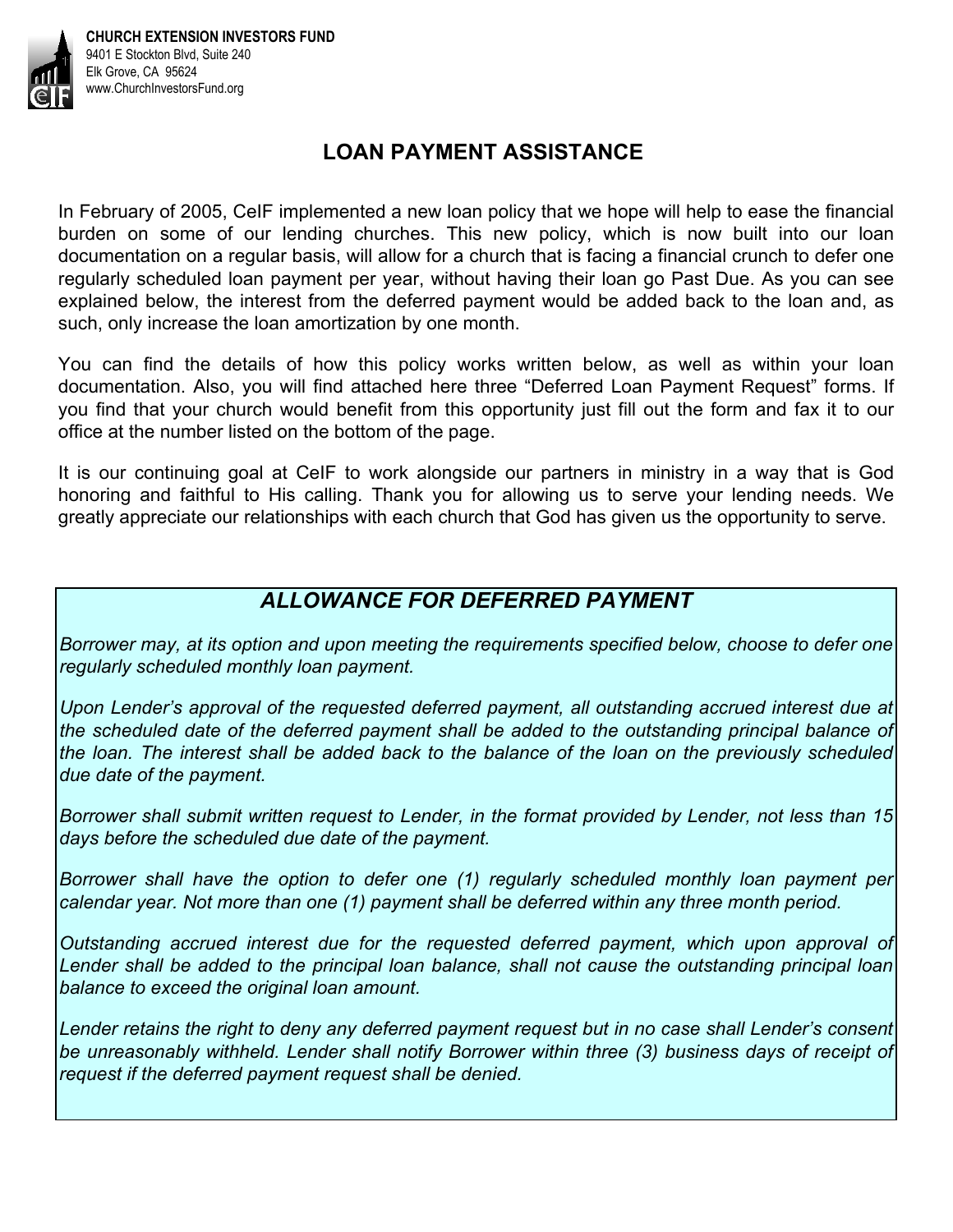

## **LOAN PAYMENT ASSISTANCE**

In February of 2005, CeIF implemented a new loan policy that we hope will help to ease the financial burden on some of our lending churches. This new policy, which is now built into our loan documentation on a regular basis, will allow for a church that is facing a financial crunch to defer one regularly scheduled loan payment per year, without having their loan go Past Due. As you can see explained below, the interest from the deferred payment would be added back to the loan and, as such, only increase the loan amortization by one month.

You can find the details of how this policy works written below, as well as within your loan documentation. Also, you will find attached here three "Deferred Loan Payment Request" forms. If you find that your church would benefit from this opportunity just fill out the form and fax it to our office at the number listed on the bottom of the page.

It is our continuing goal at CeIF to work alongside our partners in ministry in a way that is God honoring and faithful to His calling. Thank you for allowing us to serve your lending needs. We greatly appreciate our relationships with each church that God has given us the opportunity to serve.

## *ALLOWANCE FOR DEFERRED PAYMENT*

*Borrower may, at its option and upon meeting the requirements specified below, choose to defer one regularly scheduled monthly loan payment.* 

*Upon Lender's approval of the requested deferred payment, all outstanding accrued interest due at the scheduled date of the deferred payment shall be added to the outstanding principal balance of the loan. The interest shall be added back to the balance of the loan on the previously scheduled due date of the payment.* 

*Borrower shall submit written request to Lender, in the format provided by Lender, not less than 15 days before the scheduled due date of the payment.* 

*Borrower shall have the option to defer one (1) regularly scheduled monthly loan payment per calendar year. Not more than one (1) payment shall be deferred within any three month period.* 

*Outstanding accrued interest due for the requested deferred payment, which upon approval of*  Lender shall be added to the principal loan balance, shall not cause the outstanding principal loan *balance to exceed the original loan amount.* 

*Lender retains the right to deny any deferred payment request but in no case shall Lender's consent be unreasonably withheld. Lender shall notify Borrower within three (3) business days of receipt of request if the deferred payment request shall be denied.*